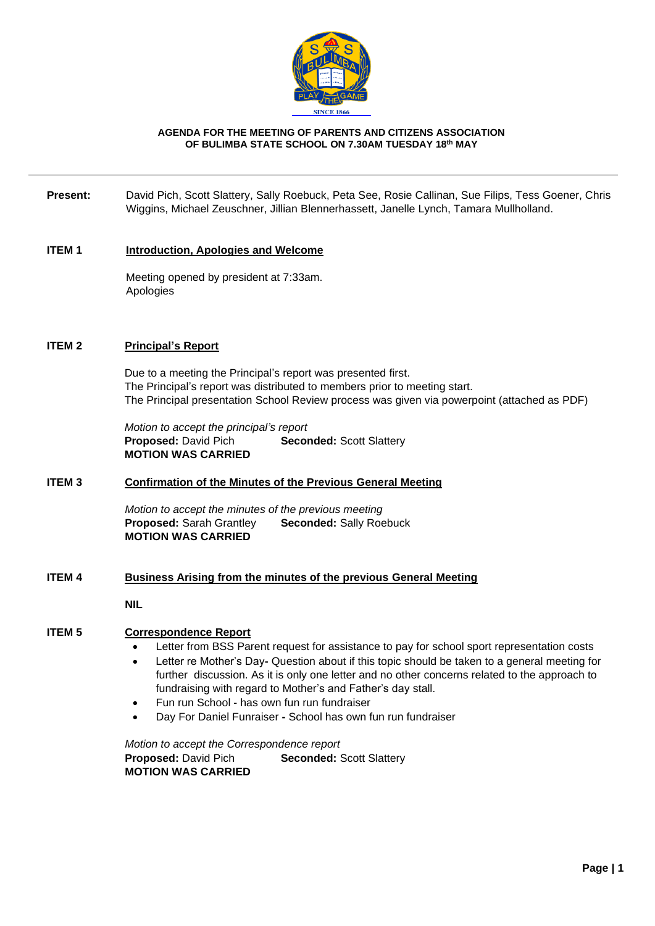

#### **AGENDA FOR THE MEETING OF PARENTS AND CITIZENS ASSOCIATION OF BULIMBA STATE SCHOOL ON 7.30AM TUESDAY 18th MAY**

#### **Present:** David Pich, Scott Slattery, Sally Roebuck, Peta See, Rosie Callinan, Sue Filips, Tess Goener, Chris Wiggins, Michael Zeuschner, Jillian Blennerhassett, Janelle Lynch, Tamara Mullholland.

#### **ITEM 1 Introduction, Apologies and Welcome**

Meeting opened by president at 7:33am. **Apologies** 

#### **ITEM 2 Principal's Report**

Due to a meeting the Principal's report was presented first. The Principal's report was distributed to members prior to meeting start. The Principal presentation School Review process was given via powerpoint (attached as PDF)

*Motion to accept the principal's report* **Proposed:** David Pich **Seconded:** Scott Slattery **MOTION WAS CARRIED**

## **ITEM 3 Confirmation of the Minutes of the Previous General Meeting**

*Motion to accept the minutes of the previous meeting* **Proposed:** Sarah Grantley **Seconded:** Sally Roebuck **MOTION WAS CARRIED**

## **ITEM 4 Business Arising from the minutes of the previous General Meeting**

**NIL**

## **ITEM 5 Correspondence Report**

- Letter from BSS Parent request for assistance to pay for school sport representation costs
- Letter re Mother's Day**-** Question about if this topic should be taken to a general meeting for further discussion. As it is only one letter and no other concerns related to the approach to fundraising with regard to Mother's and Father's day stall.
- Fun run School has own fun run fundraiser
- Day For Daniel Funraiser **-** School has own fun run fundraiser

*Motion to accept the Correspondence report* **Proposed: David Pich <b>Seconded:** Scott Slattery **MOTION WAS CARRIED**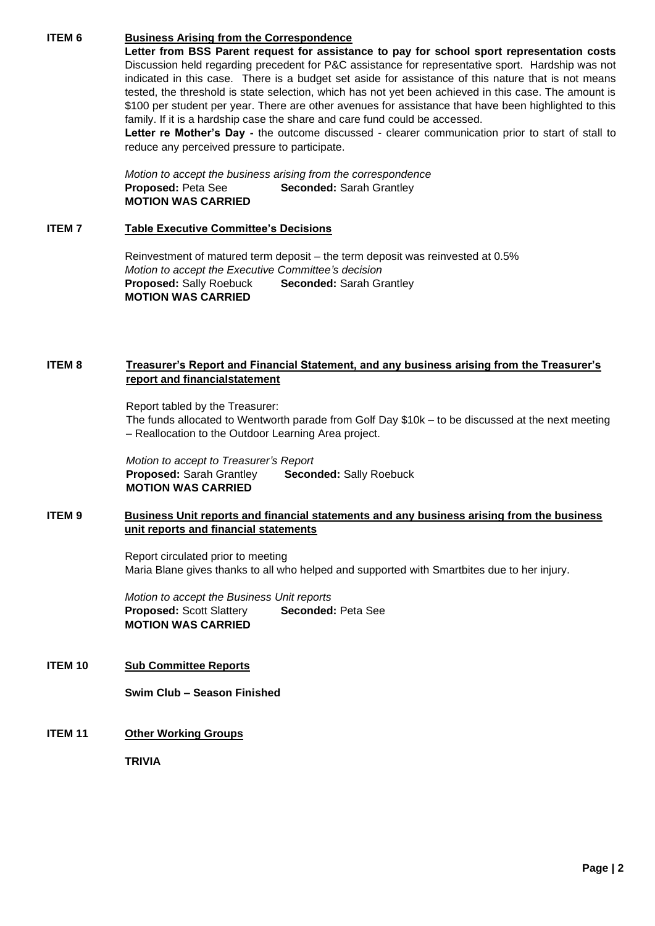# **ITEM 6 Business Arising from the Correspondence**

**Letter from BSS Parent request for assistance to pay for school sport representation costs** Discussion held regarding precedent for P&C assistance for representative sport. Hardship was not indicated in this case. There is a budget set aside for assistance of this nature that is not means tested, the threshold is state selection, which has not yet been achieved in this case. The amount is \$100 per student per year. There are other avenues for assistance that have been highlighted to this family. If it is a hardship case the share and care fund could be accessed.

**Letter re Mother's Day -** the outcome discussed - clearer communication prior to start of stall to reduce any perceived pressure to participate.

*Motion to accept the business arising from the correspondence* **Proposed:** Peta See **Seconded:** Sarah Grantley **MOTION WAS CARRIED**

#### **ITEM 7 Table Executive Committee's Decisions**

Reinvestment of matured term deposit – the term deposit was reinvested at 0.5% *Motion to accept the Executive Committee's decision* **Proposed:** Sally Roebuck **Seconded:** Sarah Grantley **MOTION WAS CARRIED**

## **ITEM 8 Treasurer's Report and Financial Statement, and any business arising from the Treasurer's report and financialstatement**

Report tabled by the Treasurer:

The funds allocated to Wentworth parade from Golf Day \$10k – to be discussed at the next meeting – Reallocation to the Outdoor Learning Area project.

*Motion to accept to Treasurer's Report* **Proposed:** Sarah Grantley **Seconded:** Sally Roebuck **MOTION WAS CARRIED**

## **ITEM 9 Business Unit reports and financial statements and any business arising from the business unit reports and financial statements**

Report circulated prior to meeting Maria Blane gives thanks to all who helped and supported with Smartbites due to her injury.

*Motion to accept the Business Unit reports* **Proposed:** Scott Slattery **Seconded:** Peta See **MOTION WAS CARRIED**

**ITEM 10 Sub Committee Reports**

**Swim Club – Season Finished**

**ITEM 11 Other Working Groups**

**TRIVIA**